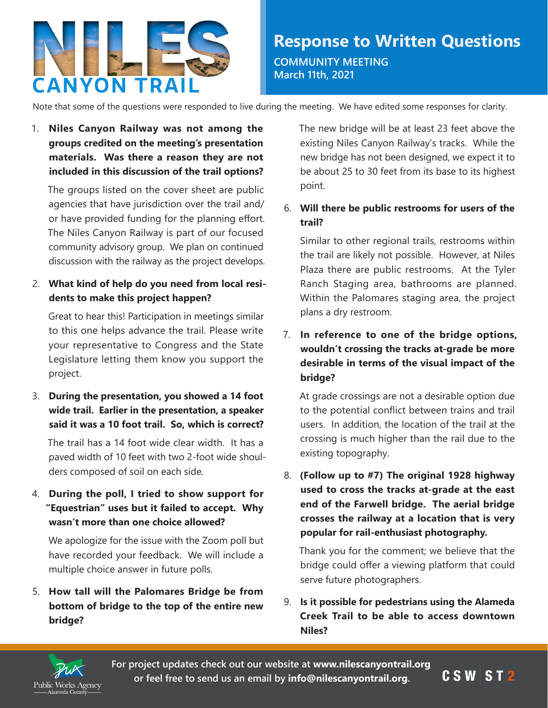

Note that some of the questions were responded to live during the meeting. We have edited some responses for clarity.

1. **Niles Canyon Railway was not among the groups credited on the meeting's presentation materials. Was there a reason they are not included in this discussion of the trail options?**

The groups listed on the cover sheet are public agencies that have jurisdiction over the trail and/ or have provided funding for the planning effort. The Niles Canyon Railway is part of our focused community advisory group. We plan on continued discussion with the railway as the project develops.

2. **What kind of help do you need from local residents to make this project happen?** 

Great to hear this! Participation in meetings similar to this one helps advance the trail. Please write your representative to Congress and the State Legislature letting them know you support the project.

3. **During the presentation, you showed a 14 foot wide trail. Earlier in the presentation, a speaker said it was a 10 foot trail. So, which is correct?**

The trail has a 14 foot wide clear width. It has a paved width of 10 feet with two 2-foot wide shoulders composed of soil on each side.

4. **During the poll, I tried to show support for "Equestrian" uses but it failed to accept. Why wasn't more than one choice allowed?**

We apologize for the issue with the Zoom poll but have recorded your feedback. We will include a multiple choice answer in future polls.

5. **How tall will the Palomares Bridge be from bottom of bridge to the top of the entire new bridge?**

The new bridge will be at least 23 feet above the existing Niles Canyon Railway's tracks. While the new bridge has not been designed, we expect it to be about 25 to 30 feet from its base to its highest point.

# 6. **Will there be public restrooms for users of the trail?**

Similar to other regional trails, restrooms within the trail are likely not possible. However, at Niles Plaza there are public restrooms. At the Tyler Ranch Staging area, bathrooms are planned. Within the Palomares staging area, the project plans a dry restroom.

# 7. **In reference to one of the bridge options, wouldn't crossing the tracks at-grade be more desirable in terms of the visual impact of the bridge?**

At grade crossings are not a desirable option due to the potential conflict between trains and trail users. In addition, the location of the trail at the crossing is much higher than the rail due to the existing topography.

8. **(Follow up to #7) The original 1928 highway used to cross the tracks at-grade at the east end of the Farwell bridge. The aerial bridge crosses the railway at a location that is very popular for rail-enthusiast photography.**

Thank you for the comment; we believe that the bridge could offer a viewing platform that could serve future photographers.

9. **Is it possible for pedestrians using the Alameda Creek Trail to be able to access downtown Niles?**

CSWST2



**For project updates check out our website at [www.nilescanyontrail.org](http://www.nilescanyontrail.org) or feel free to send us an email by [info@nilescanyontrail.org](mailto:info@nilescanyontrail.org).**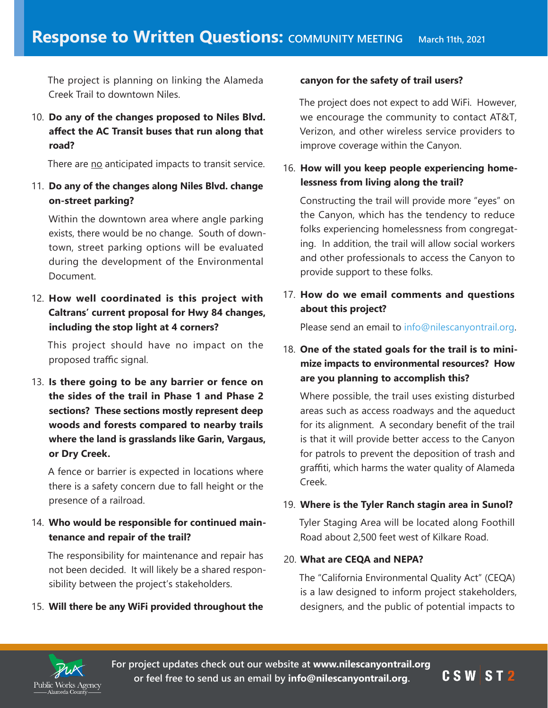The project is planning on linking the Alameda Creek Trail to downtown Niles.

10. **Do any of the changes proposed to Niles Blvd. affect the AC Transit buses that run along that road?**

There are no anticipated impacts to transit service.

11. **Do any of the changes along Niles Blvd. change on-street parking?**

Within the downtown area where angle parking exists, there would be no change. South of downtown, street parking options will be evaluated during the development of the Environmental Document.

12. **How well coordinated is this project with Caltrans' current proposal for Hwy 84 changes, including the stop light at 4 corners?**

This project should have no impact on the proposed traffic signal.

13. **Is there going to be any barrier or fence on the sides of the trail in Phase 1 and Phase 2 sections? These sections mostly represent deep woods and forests compared to nearby trails where the land is grasslands like Garin, Vargaus, or Dry Creek.**

A fence or barrier is expected in locations where there is a safety concern due to fall height or the presence of a railroad.

## 14. **Who would be responsible for continued maintenance and repair of the trail?**

The responsibility for maintenance and repair has not been decided. It will likely be a shared responsibility between the project's stakeholders.

15. **Will there be any WiFi provided throughout the** 

#### **canyon for the safety of trail users?**

The project does not expect to add WiFi. However, we encourage the community to contact AT&T, Verizon, and other wireless service providers to improve coverage within the Canyon.

### 16. **How will you keep people experiencing homelessness from living along the trail?**

Constructing the trail will provide more "eyes" on the Canyon, which has the tendency to reduce folks experiencing homelessness from congregating. In addition, the trail will allow social workers and other professionals to access the Canyon to provide support to these folks.

# 17. **How do we email comments and questions about this project?**

Please send an email to [info@nilescanyontrail.org.](mailto:info@nilescanyontrai.org)

# 18. **One of the stated goals for the trail is to minimize impacts to environmental resources? How are you planning to accomplish this?**

Where possible, the trail uses existing disturbed areas such as access roadways and the aqueduct for its alignment. A secondary benefit of the trail is that it will provide better access to the Canyon for patrols to prevent the deposition of trash and graffiti, which harms the water quality of Alameda Creek.

### 19. **Where is the Tyler Ranch stagin area in Sunol?**

Tyler Staging Area will be located along Foothill Road about 2,500 feet west of Kilkare Road.

#### 20. **What are CEQA and NEPA?**

The "California Environmental Quality Act" (CEQA) is a law designed to inform project stakeholders, designers, and the public of potential impacts to



**For project updates check out our website at [www.nilescanyontrail.org](http://www.nilescanyontrail.org) or feel free to send us an email by [info@nilescanyontrail.org](mailto:info@nilescanyontrail.org).**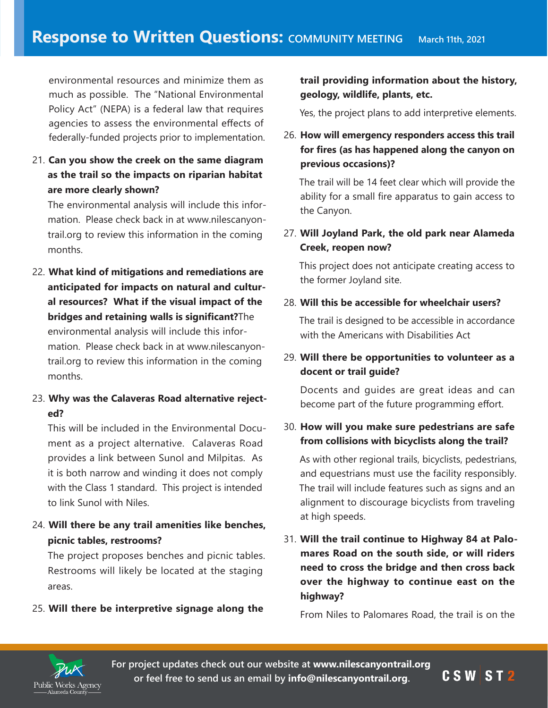environmental resources and minimize them as much as possible. The "National Environmental Policy Act" (NEPA) is a federal law that requires agencies to assess the environmental effects of federally-funded projects prior to implementation.

21. **Can you show the creek on the same diagram as the trail so the impacts on riparian habitat are more clearly shown?**

The environmental analysis will include this information. Please check back in at www.nilescanyontrail.org to review this information in the coming months.

- 22. **What kind of mitigations and remediations are anticipated for impacts on natural and cultural resources? What if the visual impact of the bridges and retaining walls is significant?**The environmental analysis will include this information. Please check back in at www.nilescanyontrail.org to review this information in the coming months.
- 23. **Why was the Calaveras Road alternative rejected?**

This will be included in the Environmental Document as a project alternative. Calaveras Road provides a link between Sunol and Milpitas. As it is both narrow and winding it does not comply with the Class 1 standard. This project is intended to link Sunol with Niles.

24. **Will there be any trail amenities like benches, picnic tables, restrooms?**

The project proposes benches and picnic tables. Restrooms will likely be located at the staging areas.

25. **Will there be interpretive signage along the**

**trail providing information about the history, geology, wildlife, plants, etc.**

Yes, the project plans to add interpretive elements.

26. **How will emergency responders access this trail for fires (as has happened along the canyon on previous occasions)?**

The trail will be 14 feet clear which will provide the ability for a small fire apparatus to gain access to the Canyon.

27. **Will Joyland Park, the old park near Alameda Creek, reopen now?**

This project does not anticipate creating access to the former Joyland site.

#### 28. **Will this be accessible for wheelchair users?**

The trail is designed to be accessible in accordance with the Americans with Disabilities Act

# 29. **Will there be opportunities to volunteer as a docent or trail guide?**

Docents and guides are great ideas and can become part of the future programming effort.

## 30. **How will you make sure pedestrians are safe from collisions with bicyclists along the trail?**

As with other regional trails, bicyclists, pedestrians, and equestrians must use the facility responsibly. The trail will include features such as signs and an alignment to discourage bicyclists from traveling at high speeds.

31. **Will the trail continue to Highway 84 at Palomares Road on the south side, or will riders need to cross the bridge and then cross back over the highway to continue east on the highway?**

From Niles to Palomares Road, the trail is on the



**For project updates check out our website at [www.nilescanyontrail.org](http://www.nilescanyontrail.org) or feel free to send us an email by [info@nilescanyontrail.org](mailto:info@nilescanyontrail.org).**

CSWST2